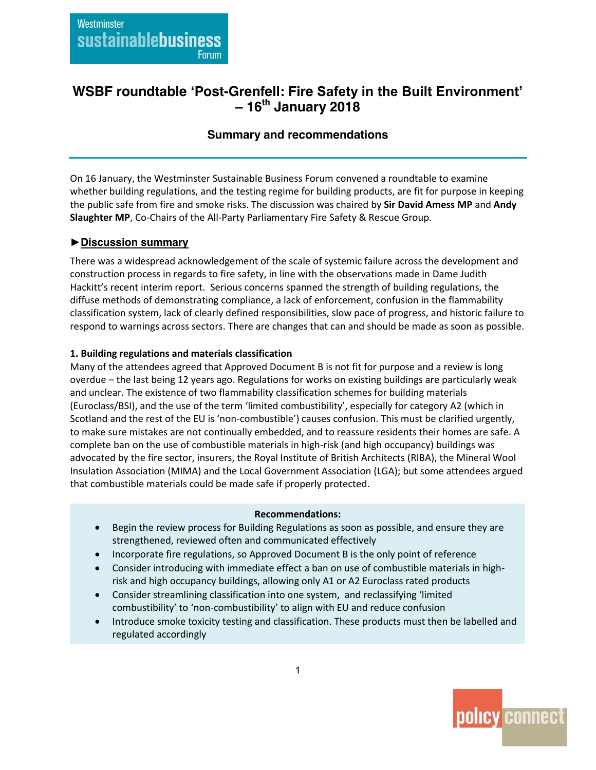# **WSBF roundtable 'Post-Grenfell: Fire Safety in the Built Environment' – 16th January 2018**

## **Summary and recommendations**

On 16 January, the Westminster Sustainable Business Forum convened a roundtable to examine whether building regulations, and the testing regime for building products, are fit for purpose in keeping the public safe from fire and smoke risks. The discussion was chaired by **Sir David Amess MP** and **Andy Slaughter MP**, Co-Chairs of the All-Party Parliamentary Fire Safety & Rescue Group.

### **►Discussion summary**

There was a widespread acknowledgement of the scale of systemic failure across the development and construction process in regards to fire safety, in line with the observations made in Dame Judith Hackitt's recent interim report. Serious concerns spanned the strength of building regulations, the diffuse methods of demonstrating compliance, a lack of enforcement, confusion in the flammability classification system, lack of clearly defined responsibilities, slow pace of progress, and historic failure to respond to warnings across sectors. There are changes that can and should be made as soon as possible.

### **1. Building regulations and materials classification**

Many of the attendees agreed that Approved Document B is not fit for purpose and a review is long overdue – the last being 12 years ago. Regulations for works on existing buildings are particularly weak and unclear. The existence of two flammability classification schemes for building materials (Euroclass/BSI), and the use of the term 'limited combustibility', especially for category A2 (which in Scotland and the rest of the EU is 'non-combustible') causes confusion. This must be clarified urgently, to make sure mistakes are not continually embedded, and to reassure residents their homes are safe. A complete ban on the use of combustible materials in high-risk (and high occupancy) buildings was advocated by the fire sector, insurers, the Royal Institute of British Architects (RIBA), the Mineral Wool Insulation Association (MIMA) and the Local Government Association (LGA); but some attendees argued that combustible materials could be made safe if properly protected.

#### **Recommendations:**

- Begin the review process for Building Regulations as soon as possible, and ensure they are strengthened, reviewed often and communicated effectively
- Incorporate fire regulations, so Approved Document B is the only point of reference
- Consider introducing with immediate effect a ban on use of combustible materials in highrisk and high occupancy buildings, allowing only A1 or A2 Euroclass rated products
- x Consider streamlining classification into one system, and reclassifying 'limited combustibility' to 'non-combustibility' to align with EU and reduce confusion
- Introduce smoke toxicity testing and classification. These products must then be labelled and regulated accordingly

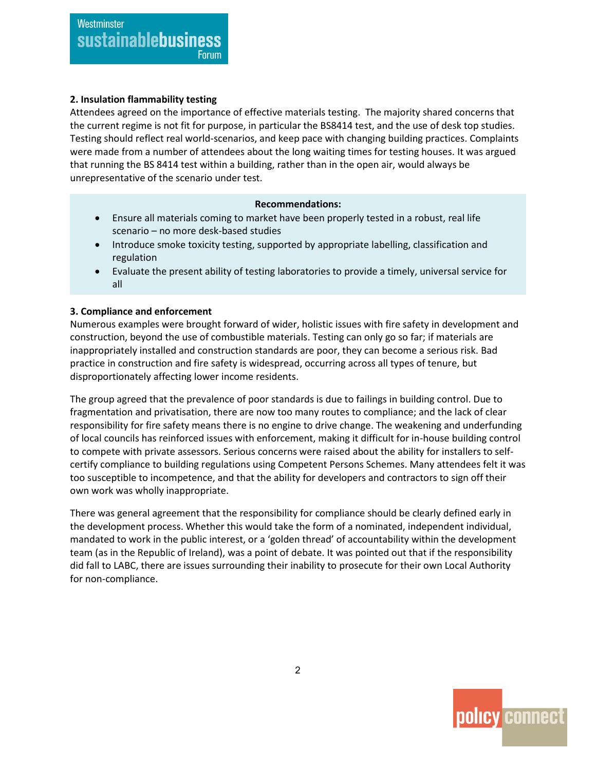#### **2. Insulation flammability testing**

Attendees agreed on the importance of effective materials testing. The majority shared concerns that the current regime is not fit for purpose, in particular the BS8414 test, and the use of desk top studies. Testing should reflect real world-scenarios, and keep pace with changing building practices. Complaints were made from a number of attendees about the long waiting times for testing houses. It was argued that running the BS 8414 test within a building, rather than in the open air, would always be unrepresentative of the scenario under test.

#### **Recommendations:**

- Ensure all materials coming to market have been properly tested in a robust, real life scenario – no more desk-based studies
- Introduce smoke toxicity testing, supported by appropriate labelling, classification and regulation
- Evaluate the present ability of testing laboratories to provide a timely, universal service for all

#### **3. Compliance and enforcement**

Numerous examples were brought forward of wider, holistic issues with fire safety in development and construction, beyond the use of combustible materials. Testing can only go so far; if materials are inappropriately installed and construction standards are poor, they can become a serious risk. Bad practice in construction and fire safety is widespread, occurring across all types of tenure, but disproportionately affecting lower income residents.

The group agreed that the prevalence of poor standards is due to failings in building control. Due to fragmentation and privatisation, there are now too many routes to compliance; and the lack of clear responsibility for fire safety means there is no engine to drive change. The weakening and underfunding of local councils has reinforced issues with enforcement, making it difficult for in-house building control to compete with private assessors. Serious concerns were raised about the ability for installers to selfcertify compliance to building regulations using Competent Persons Schemes. Many attendees felt it was too susceptible to incompetence, and that the ability for developers and contractors to sign off their own work was wholly inappropriate.

There was general agreement that the responsibility for compliance should be clearly defined early in the development process. Whether this would take the form of a nominated, independent individual, mandated to work in the public interest, or a 'golden thread' of accountability within the development team (as in the Republic of Ireland), was a point of debate. It was pointed out that if the responsibility did fall to LABC, there are issues surrounding their inability to prosecute for their own Local Authority for non-compliance.

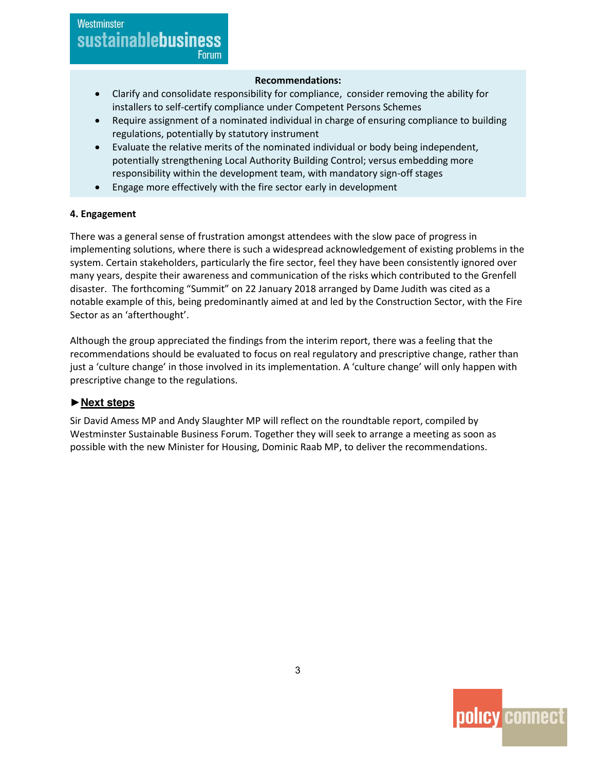#### **Recommendations:**

- x Clarify and consolidate responsibility for compliance, consider removing the ability for installers to self-certify compliance under Competent Persons Schemes
- x Require assignment of a nominated individual in charge of ensuring compliance to building regulations, potentially by statutory instrument
- x Evaluate the relative merits of the nominated individual or body being independent, potentially strengthening Local Authority Building Control; versus embedding more responsibility within the development team, with mandatory sign-off stages
- Engage more effectively with the fire sector early in development

#### **4. Engagement**

There was a general sense of frustration amongst attendees with the slow pace of progress in implementing solutions, where there is such a widespread acknowledgement of existing problems in the system. Certain stakeholders, particularly the fire sector, feel they have been consistently ignored over many years, despite their awareness and communication of the risks which contributed to the Grenfell disaster. The forthcoming "Summit" on 22 January 2018 arranged by Dame Judith was cited as a notable example of this, being predominantly aimed at and led by the Construction Sector, with the Fire Sector as an 'afterthought'.

Although the group appreciated the findings from the interim report, there was a feeling that the recommendations should be evaluated to focus on real regulatory and prescriptive change, rather than just a 'culture change' in those involved in its implementation. A 'culture change' will only happen with prescriptive change to the regulations.

#### **►Next steps**

Sir David Amess MP and Andy Slaughter MP will reflect on the roundtable report, compiled by Westminster Sustainable Business Forum. Together they will seek to arrange a meeting as soon as possible with the new Minister for Housing, Dominic Raab MP, to deliver the recommendations.